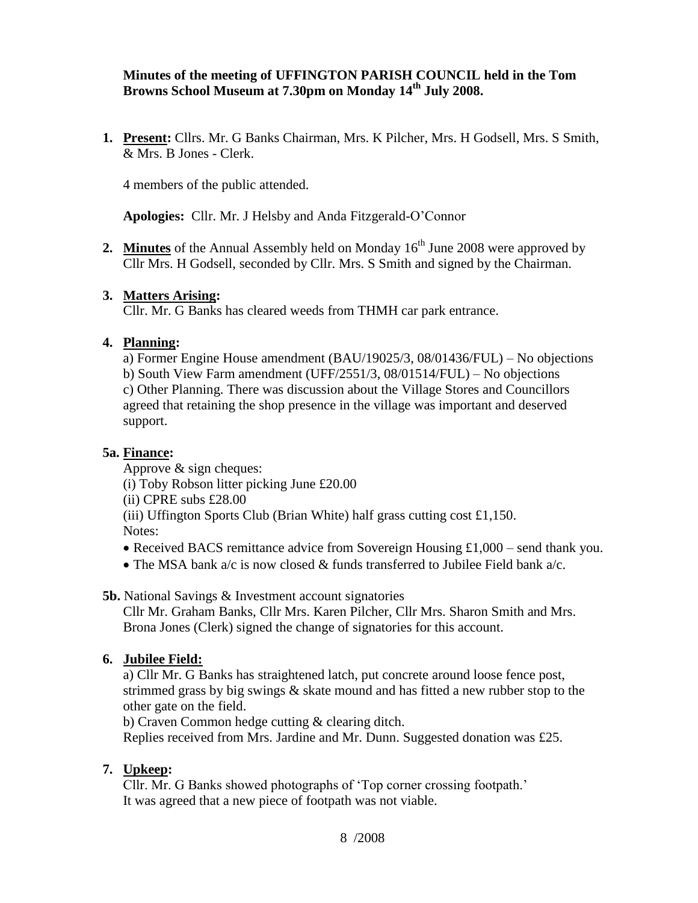### **Minutes of the meeting of UFFINGTON PARISH COUNCIL held in the Tom Browns School Museum at 7.30pm on Monday 14 th July 2008.**

**1. Present:** Cllrs. Mr. G Banks Chairman, Mrs. K Pilcher, Mrs. H Godsell, Mrs. S Smith, & Mrs. B Jones - Clerk.

4 members of the public attended.

**Apologies:** Cllr. Mr. J Helsby and Anda Fitzgerald-O'Connor

**2. Minutes** of the Annual Assembly held on Monday  $16<sup>th</sup>$  June 2008 were approved by Cllr Mrs. H Godsell, seconded by Cllr. Mrs. S Smith and signed by the Chairman.

#### **3. Matters Arising:**

Cllr. Mr. G Banks has cleared weeds from THMH car park entrance.

#### **4. Planning:**

a) Former Engine House amendment (BAU/19025/3, 08/01436/FUL) – No objections b) South View Farm amendment (UFF/2551/3, 08/01514/FUL) – No objections c) Other Planning. There was discussion about the Village Stores and Councillors agreed that retaining the shop presence in the village was important and deserved support.

### **5a. Finance:**

Approve & sign cheques:

(i) Toby Robson litter picking June £20.00

(ii) CPRE subs £28.00

(iii) Uffington Sports Club (Brian White) half grass cutting cost £1,150.

Notes:

- Received BACS remittance advice from Sovereign Housing £1,000 send thank you.
- The MSA bank a/c is now closed & funds transferred to Jubilee Field bank a/c.

**5b.** National Savings & Investment account signatories

Cllr Mr. Graham Banks, Cllr Mrs. Karen Pilcher, Cllr Mrs. Sharon Smith and Mrs. Brona Jones (Clerk) signed the change of signatories for this account.

### **6. Jubilee Field:**

a) Cllr Mr. G Banks has straightened latch, put concrete around loose fence post, strimmed grass by big swings & skate mound and has fitted a new rubber stop to the other gate on the field.

b) Craven Common hedge cutting & clearing ditch.

Replies received from Mrs. Jardine and Mr. Dunn. Suggested donation was £25.

### **7. Upkeep:**

Cllr. Mr. G Banks showed photographs of 'Top corner crossing footpath.' It was agreed that a new piece of footpath was not viable.